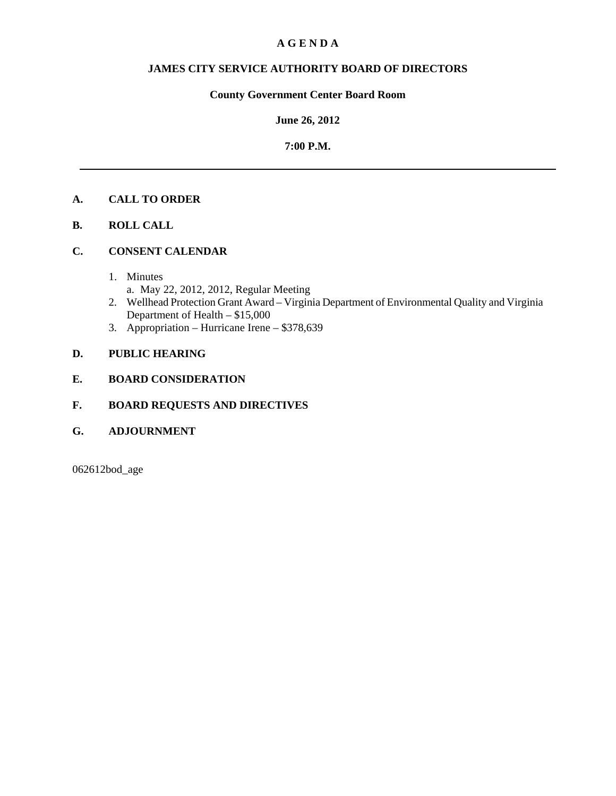# **A G E N D A**

# **JAMES CITY SERVICE AUTHORITY BOARD OF DIRECTORS**

# **County Government Center Board Room**

## **June 26, 2012**

# **7:00 P.M.**

# **A. CALL TO ORDER**

**B. ROLL CALL**

# **C. CONSENT CALENDAR**

- 1. Minutes
	- a. May 22, 2012, 2012, Regular Meeting
- 2. Wellhead Protection Grant Award Virginia Department of Environmental Quality and Virginia Department of Health – \$15,000
- 3. Appropriation Hurricane Irene \$378,639

# **D. PUBLIC HEARING**

## **E. BOARD CONSIDERATION**

# **F. BOARD REQUESTS AND DIRECTIVES**

**G. ADJOURNMENT**

062612bod\_age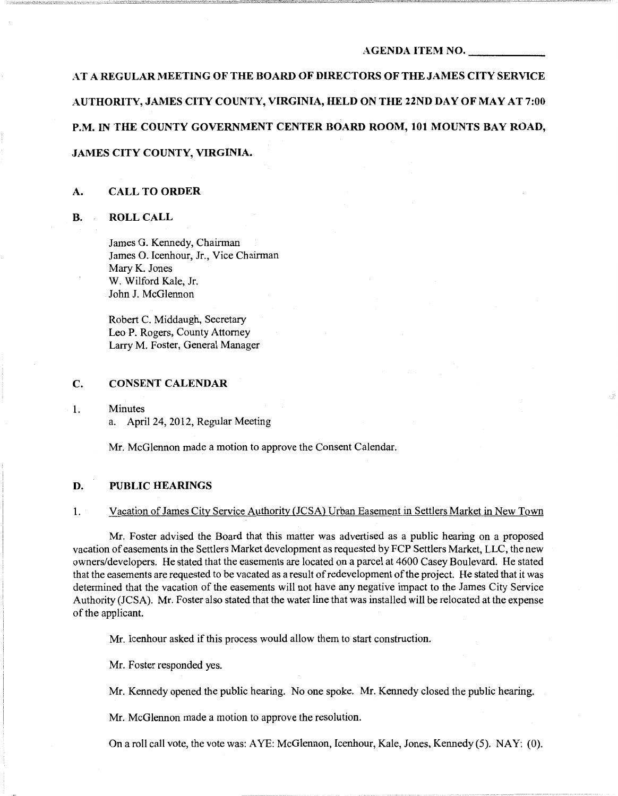#### AGENDA ITEM NO.

AT A REGULAR MEETING OF THE BOARD OF DIRECTORS OF THE JAMES CITY SERVICE AUTHORITY, JAMES CITY COUNTY, VIRGINIA, HELD ON THE 22ND DAY OF MAY AT 7:00 P.M. IN THE COUNTY GOVERNMENT CENTER BOARD ROOM, 101 MOUNTS BAY ROAD, JAMES CITY COUNTY, VIRGINIA.

## A. CALL TO ORDER

## B. ROLLCALL

James G. Kennedy, Chairman James 0. Icenhour, Jr., Vice Chairman Mary K. Jones W. Wilford Kale, Jr. John J. McGlennon

Robert C. Middaugh, Secretary Leo P. Rogers, County Attorney Larry M. Foster, General Manager

## C. CONSENT CALENDAR

1. Minutes a. April24, 2012, Regular Meeting

Mr. McGlennon made a motion to approve the Consent Calendar.

## D. PUBLIC HEARINGS

## 1. Vacation of James City Service Authority (JCSA) Urban Easement in Settlers Market in New Town

Mr. Foster advised the Board that this matter was advertised as a public hearing on a proposed vacation of easements in the Settlers Market development as requested by FCP Settlers Market, LLC, the new owners/developers. He stated that the easements are located on a parcel at 4600 Casey Boulevard. He stated that the easements are requested to be vacated as a result of redevelopment of the project. He stated that it was determined that the vacation of the easements will not have any negative impact to the James City Service Authority (JCSA). Mr. Foster also stated that the water line that was installed will be relocated at the expense of the applicant.

Mr. Icenhour asked if this process would allow them to start construction.

Mr. Foster responded yes.

Mr. Kennedy opened the public hearing. No one spoke. Mr. Kennedy closed the public hearing.

Mr. McGiennon made a motion to approve the resolution.

On a roll call vote, the vote was: AYE: McGiennon, Icenhour, Kale, Jones, Kennedy (5). NAY: (0).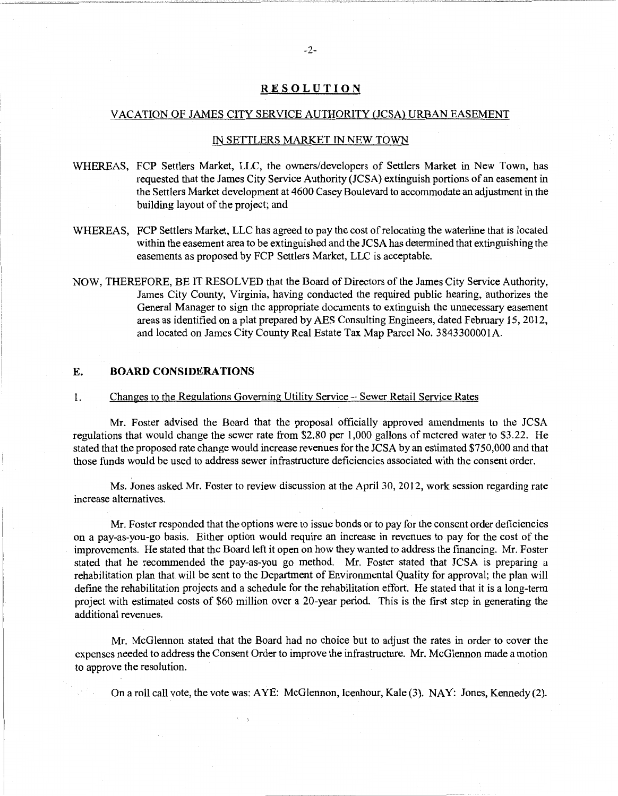## **RESOLUTION**

#### VACATION OF JAMES CITY SERVICE AUTHORITY (JCSA) URBAN EASEMENT

### IN SETTLERS MARKET IN NEW TOWN

- WHEREAS, FCP Settlers Market, LLC, the owners/developers of Settlers Market in New Town, has requested that the James City Service Authority {JCSA) extinguish portions of an easement in the Settlers Market development at 4600 Casey Boulevard to accommodate an adjustment in the building layout of the project; and
- WHEREAS, PCP Settlers Market, LLC has agreed to pay the cost of relocating the waterline that is located within the easement area to be extinguished and the JCSA has determined that extinguishing the easements as proposed by PCP Settlers Market, LLC is acceptable.
- NOW, THEREFORE, BE IT RESOLVED that the Board of Directors of the James City Service Authority, James City County, Virginia, having conducted the required public hearing, authorizes the General Manager to sign the appropriate documents to extinguish the unnecessary easement areas as identified on a plat prepared by AES Consulting Engineers, dated February 15,2012, and located on James City County Real Estate Tax Map Parcel No. 3843300001A.

## **E. BOARD CONSIDERATIONS**

#### 1. Changes to the Regulations Governing Utility Service - Sewer Retail Service Rates

Mr. Foster advised the Board that the proposal officially approved amendments to the JCSA regulations that would change the sewer rate from \$2.80 per 1,000 gallons of metered water to \$3.22. He stated that the proposed rate change would increase revenues for the JCSA by an estimated \$750,000 and that those funds would be used to address sewer infrastructure deficiencies associated with the consent order.

Ms. Jones asked Mr. Foster to review discussion at the Apri130, 2012, work session regarding rate increase alternatives.

Mr. Foster responded that the options were to issue bonds or to pay for the consent order deficiencies on a pay-as-you-go basis. Either option would require an increase in revenues to pay for the cost of the improvements. He stated that the Board left it open on how they wanted to address the fmancing. Mr. Foster stated that he recommended the pay-as-you go method. Mr. Foster stated that JCSA is preparing a rehabilitation plan that will be sent to the Department of Environmental Quality for approval; the plan will defme the rehabilitation projects and a schedule for the rehabilitation effort. He stated that it is a long-term project with estimated costs of \$60 million over a 20-year period. This is the first step in generating the additional revenues.

Mr. McGlennon stated that the Board had no choice but to adjust the rates in order to cover the expenses needed to address the Consent Order to improve the infrastructure. Mr. McGlennon made a motion to approve the resolution.

On a roll call vote, the vote was: AYE: McGlennon, Icenhour, Kale (3). NAY: Jones, Kennedy (2).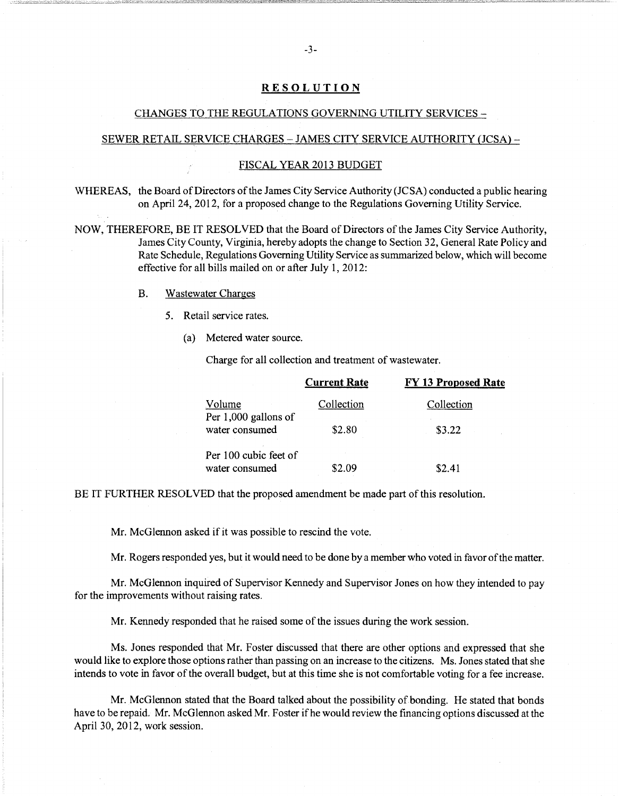## **RESOLUTION**

## CHANGES TO THE REGULATIONS GOVERNING UTILITY SERVICES-

### SEWER RETAIL SERVICE CHARGES - JAMES CITY SERVICE AUTHORITY (JCSA) -

## FISCAL YEAR 2013 BUDGET

WHEREAS, the Board of Directors of the James City Service Authority (JCSA) conducted a public hearing on April24, 2012, for a proposed change to the Regulations Governing Utility Service.

NOW, THEREFORE, BE IT RESOLVED that the Board of Directors of the James City Service Authority, James City County, Virginia, hereby adopts the change to Section 32, General Rate Policy and Rate Schedule, Regulations Governing Utility Service as summarized below, which will become effective for all bills mailed on or after July 1, 2012:

- B. Wastewater Charges
	- 5. Retail service rates.
		- (a) Metered water source.

Charge for all collection and treatment of wastewater.

|                                         | <b>Current Rate</b> | <b>FY 13 Proposed Rate</b> |
|-----------------------------------------|---------------------|----------------------------|
| Volume<br>Per 1,000 gallons of          | Collection          | Collection                 |
| water consumed                          | \$2.80              | \$3.22                     |
| Per 100 cubic feet of<br>water consumed | ፍን በዓ               | \$2.41                     |

BE IT FURTHER RESOLVED that the proposed amendment be made part of this resolution.

Mr. McGlennon asked if it was possible to rescind the vote.

Mr. Rogers responded yes, but it would need to be done by a member who voted in favor of the matter.

Mr. McGlennon inquired of Supervisor Kennedy and Supervisor Jones on how they intended to pay for the improvements without raising rates.

Mr. Kennedy responded that he raised some of the issues during the work session.

Ms. Jones responded that Mr. Foster discussed that there are other options and expressed that she would like to explore those options rather than passing on an increase to the citizens. Ms. Jones stated that she intends to vote in favor of the overall budget, but at this time she is not comfortable voting for a fee increase.

Mr. McGlennon stated that the Board talked about the possibility of bonding. He stated that bonds have to be repaid. Mr. McGlennon asked Mr. Foster if he would review the fmancing options discussed at the April 30, 2012, work session.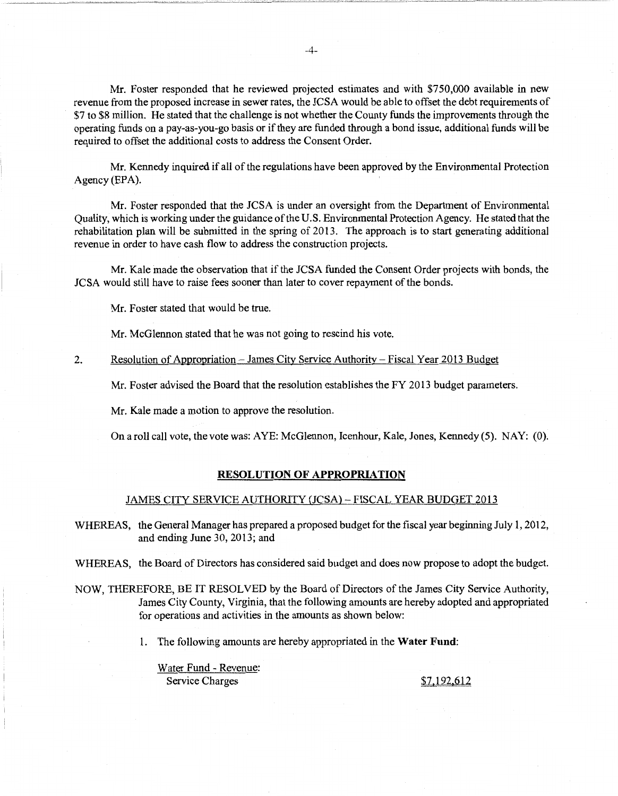Mr. Foster responded that he reviewed projected estimates and with \$750,000 available in new revenue from the proposed increase in sewer rates, the JCSA would be able to offset the debt requirements of \$7 to \$8 million. He stated that the challenge is not whether the County funds the improvements through the operating funds on a pay-as-you-go basis or if they are funded through a bond issue, additional funds will be required to offset the additional costs to address the Consent Order.

Mr. Kennedy inquired if all of the regulations have been approved by the Environmental Protection Agency (EPA).

Mr. Foster responded that the JCSA is under an oversight from the Department of Environmental Quality, which is working under the guidance of the U.S. Environmental Protection Agency. He stated that the rehabilitation plan will be submitted in the spring of 2013. The approach is to start generating additional revenue in order to have cash flow to address the construction projects.

Mr. Kale made the observation that if the JCSA funded the Consent Order projects with bonds, the JCSA would still have to raise fees sooner than later to cover repayment of the bonds.

Mr. Foster stated that would be true.

Mr. McGlennon stated that he was not going to rescind his vote.

2. Resolution of Appropriation- James City Service Authority- Fiscal Year 2013 Budget

Mr. Foster advised the Board that the resolution establishes the FY 2013 budget parameters.

Mr. Kale made a motion to approve the resolution.

On a roll call vote, the vote was: AYE: McGlennon, Icenhour, Kale, Jones, Kennedy (5). NAY: (0).

#### **RESOLUTION OF APPROPRIATION**

#### JAMES CITY SERVICE AUTHORITY (JCSA)- FISCAL YEAR BUDGET 2013

WHEREAS, the General Manager has prepared a proposed budget for the fiscal year beginning July 1, 2012, and ending June 30, 2013; and

WHEREAS, the Board of Directors has considered said budget and does now propose to adopt the budget.

NOW, THEREFORE, BE IT RESOLVED by the Board of Directors of the James City Service Authority, James City County, Virginia, that the following amounts are hereby adopted and appropriated for operations and activities in the amounts as shown below:

1. The following amounts are hereby appropriated in the **Water Fund:** 

Water Fund - Revenue: Service Charges S7,192.612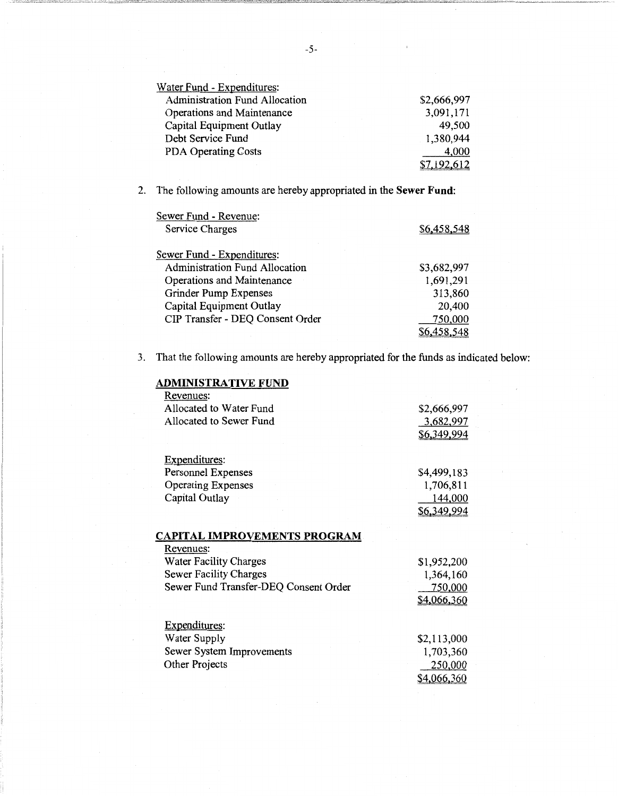| Water Fund - Expenditures:            |             |
|---------------------------------------|-------------|
| <b>Administration Fund Allocation</b> | \$2,666,997 |
| Operations and Maintenance            | 3,091,171   |
| Capital Equipment Outlay              | 49,500      |
| Debt Service Fund                     | 1,380,944   |
| <b>PDA Operating Costs</b>            | 4,000       |
|                                       | \$7.192.612 |

2. The following amounts are hereby appropriated in the **Sewer Fund:** 

| Sewer Fund - Revenue:                 |             |
|---------------------------------------|-------------|
| Service Charges                       | \$6,458,548 |
| Sewer Fund - Expenditures:            |             |
| <b>Administration Fund Allocation</b> | \$3,682,997 |
| Operations and Maintenance            | 1,691,291   |
| Grinder Pump Expenses                 | 313,860     |
| Capital Equipment Outlay              | 20,400      |
| CIP Transfer - DEQ Consent Order      | 750,000     |
|                                       | \$6,458,548 |

3. That the following amounts are hereby appropriated for the funds as indicated below:

| ADMINISTRATIVE FUND                   |             |
|---------------------------------------|-------------|
| Revenues:                             |             |
| Allocated to Water Fund               | \$2,666,997 |
| Allocated to Sewer Fund               | 3,682,997   |
|                                       | \$6,349,994 |
|                                       |             |
| Expenditures:                         |             |
| Personnel Expenses                    | \$4,499,183 |
| <b>Operating Expenses</b>             | 1,706,811   |
| Capital Outlay                        | 144,000     |
|                                       | \$6,349,994 |
|                                       |             |
| <b>CAPITAL IMPROVEMENTS PROGRAM</b>   |             |
| Revenues:                             |             |
| <b>Water Facility Charges</b>         | \$1,952,200 |
| Sewer Facility Charges                | 1,364,160   |
| Sewer Fund Transfer-DEQ Consent Order | 750,000     |
|                                       | \$4,066,360 |
|                                       |             |
| Expenditures:                         |             |
| Water Supply                          | \$2,113,000 |
| Sewer System Improvements             | 1,703,360   |
| Other Projects                        | 250,000     |
|                                       | \$4,066,360 |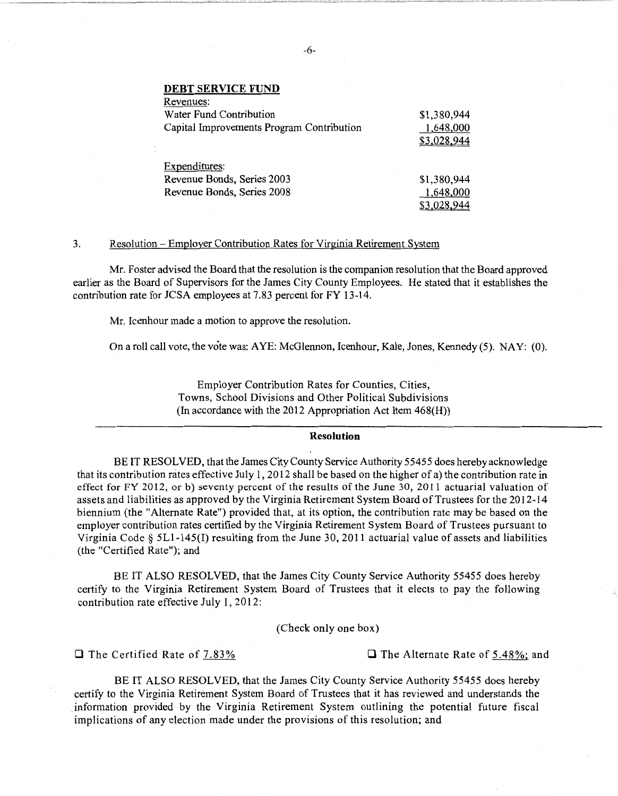**DEBT SERVICE FUND** 

| Revenues:                                 |             |
|-------------------------------------------|-------------|
| Water Fund Contribution                   | \$1,380,944 |
| Capital Improvements Program Contribution | 1,648,000   |
|                                           | \$3,028,944 |
| Expenditures:                             |             |
| Revenue Bonds, Series 2003                |             |
|                                           | \$1,380,944 |
| Revenue Bonds, Series 2008                | 1,648,000   |
|                                           |             |

## 3. Resolution- Employer Contribution Rates for Virginia Retirement System

Mr. Foster advised the Board that the resolution is the companion resolution that the Board approved earlier as the Board of Supervisors for the James City County Employees. He stated that it establishes the contribution rate for JCSA employees at 7.83 percent for FY 13-14.

Mr. Icenhour made a motion to approve the resolution.

On a roll call vote, the vote was: AYE: McGlennon, Icenhour, Kale, Jones, Kennedy (5). NAY: (0).

Employer Contribution Rates for Counties, Cities, Towns, School Divisions and Other Political Subdivisions (In accordance with the 2012 Appropriation Act Item 468(H))

#### **Resolution**

BE IT RESOLVED, that the James City County Service Authority 5 5455 does hereby acknowledge that its contribution rates effective July 1, 2012 shall be based on the higher of a) the contribution rate in effect for FY 2012, or b) seventy percent of the results of the June 30, 2011 actuarial valuation of assets and liabilities as approved by the Virginia Retirement System Board of Trustees for the 2012-14 biennium (the "Alternate Rate") provided that, at its option, the contribution rate may be based on the employer contribution rates certified by the Virginia Retirement System Board of Trustees pursuant to Virginia Code § 5Ll-145(I) resulting from the June 30, 2011 actuarial value of assets and liabilities (the "Certified Rate"); and

BE IT ALSO RESOLVED, that the James City County Service Authority 55455 does hereby certify to the Virginia Retirement System Board of Trustees that it elects to pay the following contribution rate effective July 1, 2012:

(Check only one box)

**0** The Certified Rate of 7.83% **0** The Alternate Rate of 5.48%; and

BE IT ALSO RESOLVED, that the James City County Service Authority 55455 does hereby certify to the Virginia Retirement System Board of Trustees that it has reviewed and understands the information provided by the Virginia Retirement System outlining the potential future fiscal implications of any election made under the provisions of this resolution; and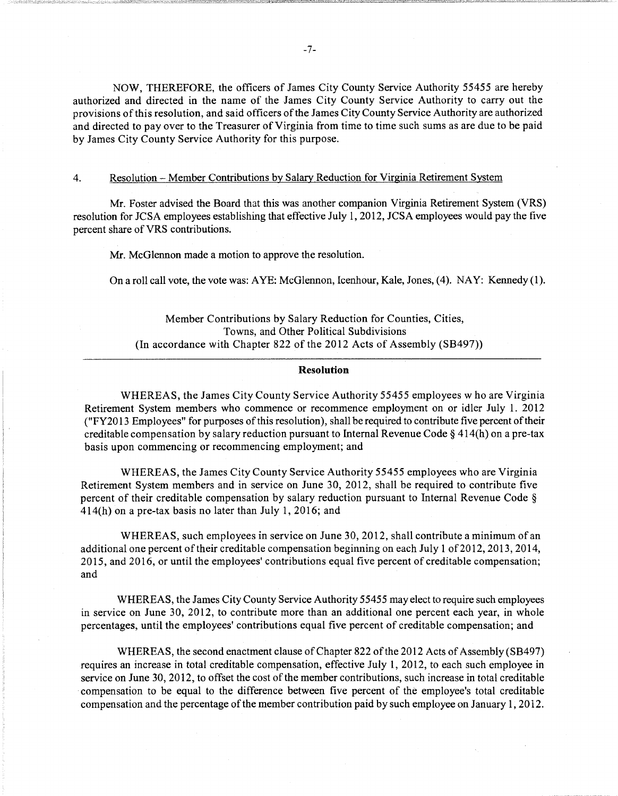NOW, THEREFORE, the officers of James City County Service Authority 55455 are hereby authorized and directed in the name of the James City County Service Authority to carry out the provisions of this resolution, and said officers of the James City County Service Authority are authorized and directed to pay over to the Treasurer of Virginia from time to time such sums as are due to be paid by James City County Service Authority for this purpose.

## 4. Resolution- Member Contributions by Salary Reduction for Virginia Retirement System

Mr. Foster advised the Board that this was another companion Virginia Retirement System (VRS) resolution for JCSA employees establishing that effective July 1, 2012, JCSA employees would pay the five percent share of VRS contributions.

Mr. McGlennon made a motion to approve the resolution.

On a roll call vote, the vote was: AYE: McGlennon, Icenhour, Kale, Jones, (4). NAY: Kennedy (1).

Member Contributions by Salary Reduction for Counties, Cities, Towns, and Other Political Subdivisions (In accordance with Chapter 822 of the 2012 Acts of Assembly (SB497))

#### **Resolution**

WHEREAS, the James City County Service Authority 55455 employees who are Virginia Retirement System members who commence or recommence employment on or idler July 1. 2012 ("FY20 13 Employees" for purposes of this resolution), shall be required to contribute five percent of their creditable compensation by salary reduction pursuant to Internal Revenue Code§ 414(h) on a pre-tax basis upon commencing or recommencing employment; and

WHEREAS, the James City County Service Authority 55455 employees who are Virginia Retirement System members and in service on June 30, 2012, shall be required to contribute five percent of their creditable compensation by salary reduction pursuant to Internal Revenue Code §  $414(h)$  on a pre-tax basis no later than July 1, 2016; and

WHEREAS, such employees in service on June 30,2012, shall contribute a minimum of an additional one percent of their creditable compensation beginning on each July 1 of 2012, 2013, 2014, 2015, and 2016, or until the employees' contributions equal five percent of creditable compensation; and

WHEREAS, the James City County Service Authority 55455 may elect to require such employees in service on June 30, 2012, to contribute more than an additional one percent each year, in whole percentages, until the employees' contributions equal five percent of creditable compensation; and

WHEREAS, the second enactment clause of Chapter 822 of the 2012 Acts of Assembly(SB497) requires an increase in total creditable compensation, effective July 1, 2012, to each such employee in service on June 30, 2012, to offset the cost of the member contributions, such increase in total creditable compensation to be equal to the difference between five percent of the employee's total creditable compensation and the percentage of the member contribution paid by such employee on January 1, 2012.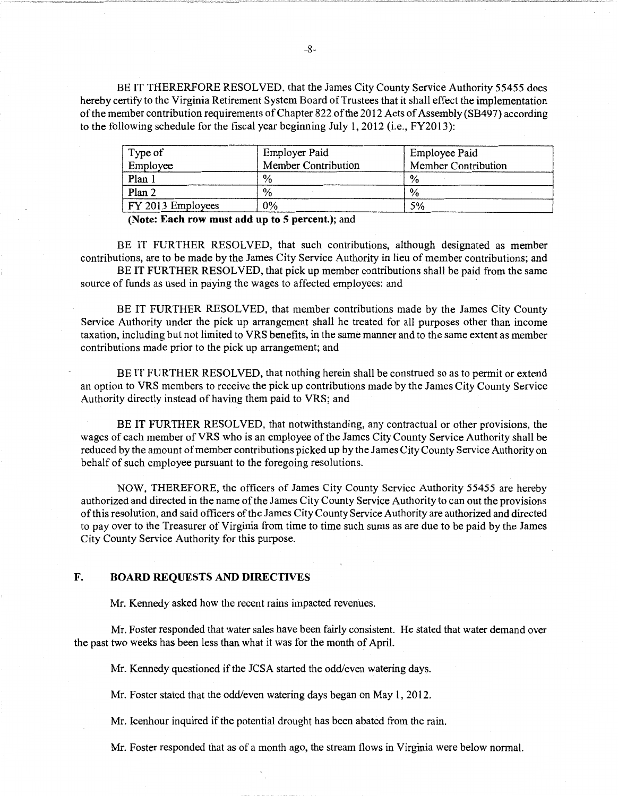BE IT THERERFORE RESOLVED, that the James City County Service Authority 55455 does hereby certify to the Virginia Retirement System Board of Trustees that it shall effect the implementation of the member contribution requirements of Chapter 822 of the 2012 Acts of Assembly (SB497) according to the following schedule for the fiscal year beginning July 1, 2012 (i.e., FY2013):

| Type of           | <b>Employer Paid</b> | Employee Paid       |
|-------------------|----------------------|---------------------|
| Employee          | Member Contribution  | Member Contribution |
| Plan 1            | $\frac{0}{0}$        | $\frac{0}{0}$       |
| Plan 2            | $\%$                 | $\%$                |
| FY 2013 Employees | 0%                   | 5%                  |

(Note: Each row must add up to 5 percent.); and

BE IT FURTHER RESOLVED, that such contributions, although designated as member contributions, are to be made by the James City Service Authority in lieu of member contributions; and

BE IT FURTHER RESOLVED, that pick up member contributions shall be paid from the same source of funds as used in paying the wages to affected employees: and

BE IT FURTHER RESOLVED, that member contributions made by the James City County Service Authority under the pick up arrangement shall he treated for all purposes other than income taxation, including but not limited to VRS benefits, in the same manner and to the same extent as member contributions made prior to the pick up arrangement; and

BE IT FURTHER RESOLVED, that nothing herein shall be construed so as to permit or extend an option to VRS members to receive the pick up contributions made by the James City County Service Authority directly instead of having them paid to VRS; and

BE IT FURTHER RESOLVED, that notwithstanding, any contractual or other provisions, the wages of each member of VRS who is an employee of the James City County Service Authority shall be reduced by the amount of member contributions picked up by the James City County Service Authority on behalf of such employee pursuant to the foregoing resolutions.

NOW, THEREFORE, the officers of James City County Service Authority 55455 are hereby authorized and directed in the name of the James City County Service Authority to can out the provisions of this resolution, and said officers of the James City County Service Authority are authorized and directed to pay over to the Treasurer of Virginia from time to time such sums as are due to be paid by the James City County Service Authority for this purpose.

## F. BOARD REQUESTS AND DIRECTIVES

Mr. Kennedy asked how the recent rains impacted revenues.

Mr. Foster responded that water sales have been fairly consistent. He stated that water demand over the past two weeks has been less than what it was for the month of April.

Mr. Kennedy questioned if the JCSA started the odd/even watering days.

Mr. Foster stated that the odd/even watering days began on May 1, 2012.

Mr. Icenhour inquired if the potential drought has been abated from the rain.

Mr. Foster responded that as of a month ago, the stream flows in Virginia were below normal.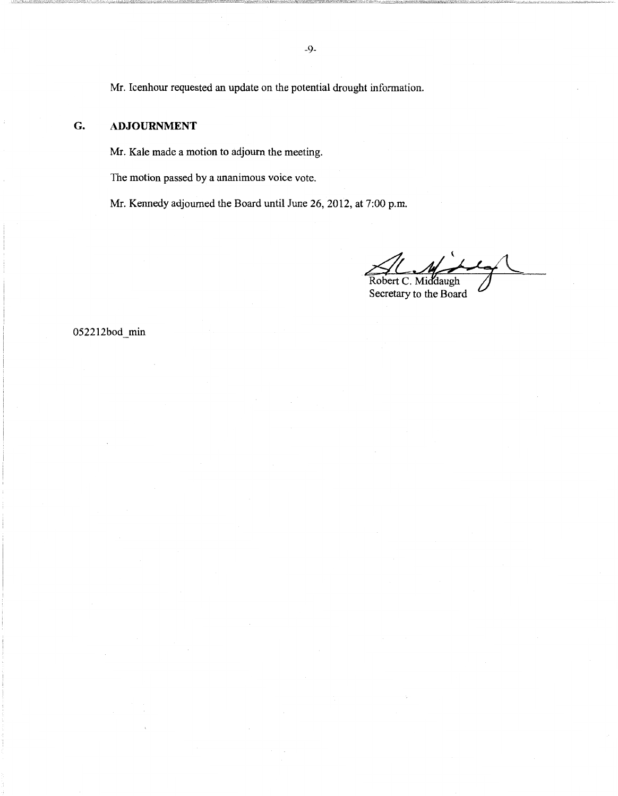Mr. Icenhour requested an update on the potential drought information.

## G. **ADJOURNMENT**

Mr. Kale made a motion to adjourn the meeting.

The motion passed by a unanimous voice vote.

Mr. Kennedy adjourned the Board until June 26, 2012, at 7:00 p.m.

Robert C. Middaugh

Secretary to the Board

052212bod min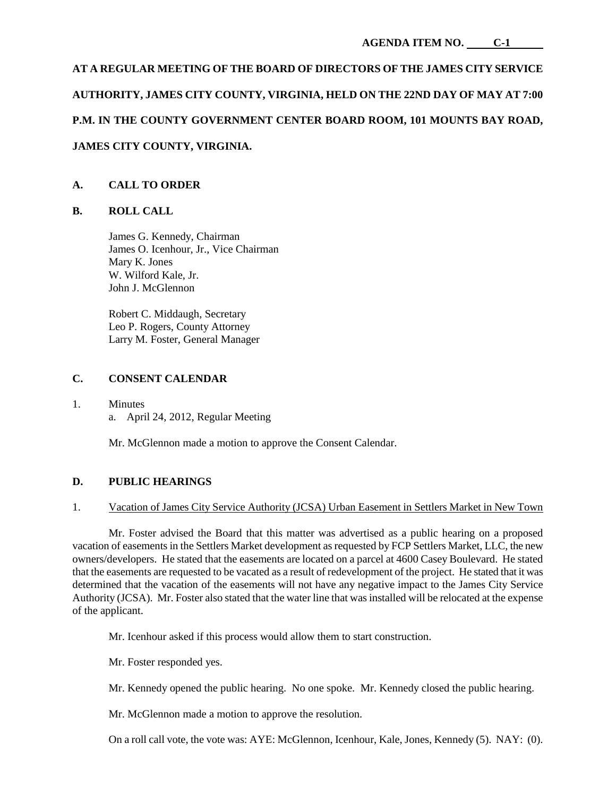# **AT A REGULAR MEETING OF THE BOARD OF DIRECTORS OF THE JAMES CITY SERVICE AUTHORITY, JAMES CITY COUNTY, VIRGINIA, HELD ON THE 22ND DAY OF MAY AT 7:00 P.M. IN THE COUNTY GOVERNMENT CENTER BOARD ROOM, 101 MOUNTS BAY ROAD, JAMES CITY COUNTY, VIRGINIA.**

# **A. CALL TO ORDER**

# **B. ROLL CALL**

James G. Kennedy, Chairman James O. Icenhour, Jr., Vice Chairman Mary K. Jones W. Wilford Kale, Jr. John J. McGlennon

Robert C. Middaugh, Secretary Leo P. Rogers, County Attorney Larry M. Foster, General Manager

# **C. CONSENT CALENDAR**

1. Minutes a. April 24, 2012, Regular Meeting

Mr. McGlennon made a motion to approve the Consent Calendar.

# **D. PUBLIC HEARINGS**

# 1. Vacation of James City Service Authority (JCSA) Urban Easement in Settlers Market in New Town

Mr. Foster advised the Board that this matter was advertised as a public hearing on a proposed vacation of easements in the Settlers Market development as requested by FCP Settlers Market, LLC, the new owners/developers. He stated that the easements are located on a parcel at 4600 Casey Boulevard. He stated that the easements are requested to be vacated as a result of redevelopment of the project. He stated that it was determined that the vacation of the easements will not have any negative impact to the James City Service Authority (JCSA). Mr. Foster also stated that the water line that was installed will be relocated at the expense of the applicant.

Mr. Icenhour asked if this process would allow them to start construction.

Mr. Foster responded yes.

Mr. Kennedy opened the public hearing. No one spoke. Mr. Kennedy closed the public hearing.

Mr. McGlennon made a motion to approve the resolution.

On a roll call vote, the vote was: AYE: McGlennon, Icenhour, Kale, Jones, Kennedy (5). NAY: (0).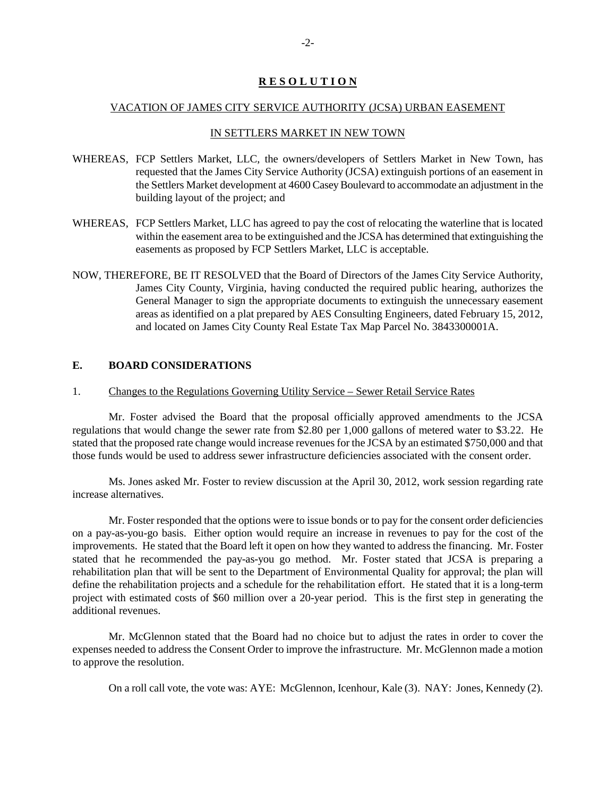# **R E S O L U T I O N**

## VACATION OF JAMES CITY SERVICE AUTHORITY (JCSA) URBAN EASEMENT

## IN SETTLERS MARKET IN NEW TOWN

- WHEREAS, FCP Settlers Market, LLC, the owners/developers of Settlers Market in New Town, has requested that the James City Service Authority (JCSA) extinguish portions of an easement in the Settlers Market development at 4600 Casey Boulevard to accommodate an adjustment in the building layout of the project; and
- WHEREAS, FCP Settlers Market, LLC has agreed to pay the cost of relocating the waterline that is located within the easement area to be extinguished and the JCSA has determined that extinguishing the easements as proposed by FCP Settlers Market, LLC is acceptable.
- NOW, THEREFORE, BE IT RESOLVED that the Board of Directors of the James City Service Authority, James City County, Virginia, having conducted the required public hearing, authorizes the General Manager to sign the appropriate documents to extinguish the unnecessary easement areas as identified on a plat prepared by AES Consulting Engineers, dated February 15, 2012, and located on James City County Real Estate Tax Map Parcel No. 3843300001A.

# **E. BOARD CONSIDERATIONS**

### 1. Changes to the Regulations Governing Utility Service – Sewer Retail Service Rates

Mr. Foster advised the Board that the proposal officially approved amendments to the JCSA regulations that would change the sewer rate from \$2.80 per 1,000 gallons of metered water to \$3.22. He stated that the proposed rate change would increase revenues for the JCSA by an estimated \$750,000 and that those funds would be used to address sewer infrastructure deficiencies associated with the consent order.

Ms. Jones asked Mr. Foster to review discussion at the April 30, 2012, work session regarding rate increase alternatives.

Mr. Foster responded that the options were to issue bonds or to pay for the consent order deficiencies on a pay-as-you-go basis. Either option would require an increase in revenues to pay for the cost of the improvements. He stated that the Board left it open on how they wanted to address the financing. Mr. Foster stated that he recommended the pay-as-you go method. Mr. Foster stated that JCSA is preparing a rehabilitation plan that will be sent to the Department of Environmental Quality for approval; the plan will define the rehabilitation projects and a schedule for the rehabilitation effort. He stated that it is a long-term project with estimated costs of \$60 million over a 20-year period. This is the first step in generating the additional revenues.

Mr. McGlennon stated that the Board had no choice but to adjust the rates in order to cover the expenses needed to address the Consent Order to improve the infrastructure. Mr. McGlennon made a motion to approve the resolution.

On a roll call vote, the vote was: AYE: McGlennon, Icenhour, Kale (3). NAY: Jones, Kennedy (2).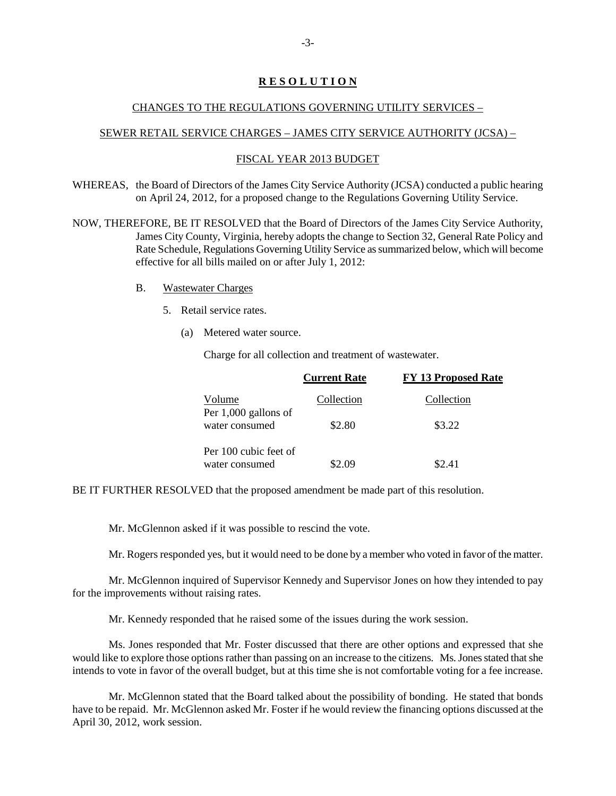# **R E S O L U T I O N**

## CHANGES TO THE REGULATIONS GOVERNING UTILITY SERVICES –

## SEWER RETAIL SERVICE CHARGES – JAMES CITY SERVICE AUTHORITY (JCSA) –

## FISCAL YEAR 2013 BUDGET

WHEREAS, the Board of Directors of the James City Service Authority (JCSA) conducted a public hearing on April 24, 2012, for a proposed change to the Regulations Governing Utility Service.

NOW, THEREFORE, BE IT RESOLVED that the Board of Directors of the James City Service Authority, James City County, Virginia, hereby adopts the change to Section 32, General Rate Policy and Rate Schedule, Regulations Governing Utility Service as summarized below, which will become effective for all bills mailed on or after July 1, 2012:

- B. Wastewater Charges
	- 5. Retail service rates.
		- (a) Metered water source.

Charge for all collection and treatment of wastewater.

|                                         | <b>Current Rate</b> | <b>FY 13 Proposed Rate</b> |
|-----------------------------------------|---------------------|----------------------------|
| Volume                                  | Collection          | Collection                 |
| Per 1,000 gallons of<br>water consumed  | \$2.80              | \$3.22                     |
| Per 100 cubic feet of<br>water consumed | 2 U G               | S2 41                      |

BE IT FURTHER RESOLVED that the proposed amendment be made part of this resolution.

Mr. McGlennon asked if it was possible to rescind the vote.

Mr. Rogers responded yes, but it would need to be done by a member who voted in favor of the matter.

Mr. McGlennon inquired of Supervisor Kennedy and Supervisor Jones on how they intended to pay for the improvements without raising rates.

Mr. Kennedy responded that he raised some of the issues during the work session.

Ms. Jones responded that Mr. Foster discussed that there are other options and expressed that she would like to explore those options rather than passing on an increase to the citizens. Ms. Jones stated that she intends to vote in favor of the overall budget, but at this time she is not comfortable voting for a fee increase.

Mr. McGlennon stated that the Board talked about the possibility of bonding. He stated that bonds have to be repaid. Mr. McGlennon asked Mr. Foster if he would review the financing options discussed at the April 30, 2012, work session.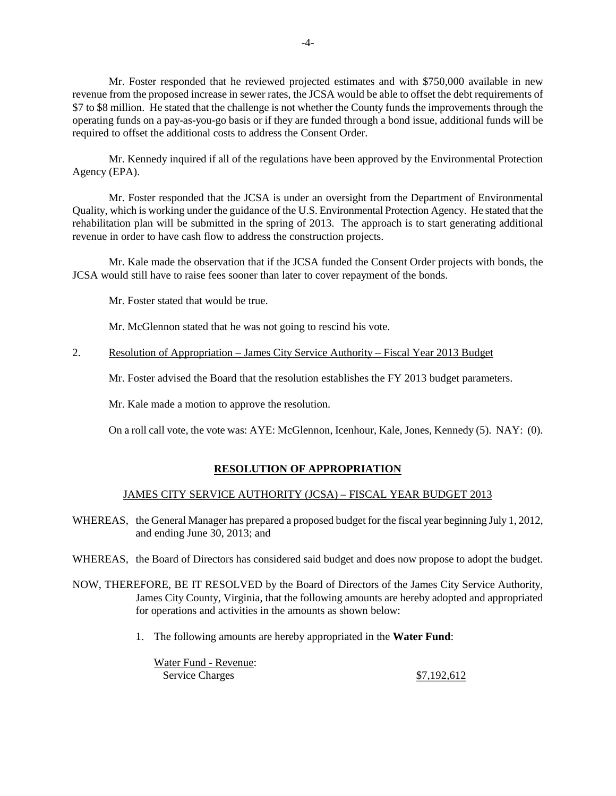Mr. Foster responded that he reviewed projected estimates and with \$750,000 available in new revenue from the proposed increase in sewer rates, the JCSA would be able to offset the debt requirements of \$7 to \$8 million. He stated that the challenge is not whether the County funds the improvements through the operating funds on a pay-as-you-go basis or if they are funded through a bond issue, additional funds will be required to offset the additional costs to address the Consent Order.

Mr. Kennedy inquired if all of the regulations have been approved by the Environmental Protection Agency (EPA).

Mr. Foster responded that the JCSA is under an oversight from the Department of Environmental Quality, which is working under the guidance of the U.S. Environmental Protection Agency. He stated that the rehabilitation plan will be submitted in the spring of 2013. The approach is to start generating additional revenue in order to have cash flow to address the construction projects.

Mr. Kale made the observation that if the JCSA funded the Consent Order projects with bonds, the JCSA would still have to raise fees sooner than later to cover repayment of the bonds.

Mr. Foster stated that would be true.

Mr. McGlennon stated that he was not going to rescind his vote.

## 2. Resolution of Appropriation – James City Service Authority – Fiscal Year 2013 Budget

Mr. Foster advised the Board that the resolution establishes the FY 2013 budget parameters.

Mr. Kale made a motion to approve the resolution.

On a roll call vote, the vote was: AYE: McGlennon, Icenhour, Kale, Jones, Kennedy (5). NAY: (0).

# **RESOLUTION OF APPROPRIATION**

# JAMES CITY SERVICE AUTHORITY (JCSA) – FISCAL YEAR BUDGET 2013

WHEREAS, the General Manager has prepared a proposed budget for the fiscal year beginning July 1, 2012, and ending June 30, 2013; and

WHEREAS, the Board of Directors has considered said budget and does now propose to adopt the budget.

- NOW, THEREFORE, BE IT RESOLVED by the Board of Directors of the James City Service Authority, James City County, Virginia, that the following amounts are hereby adopted and appropriated for operations and activities in the amounts as shown below:
	- 1. The following amounts are hereby appropriated in the **Water Fund**:

Water Fund - Revenue: Service Charges  $$7,192,612$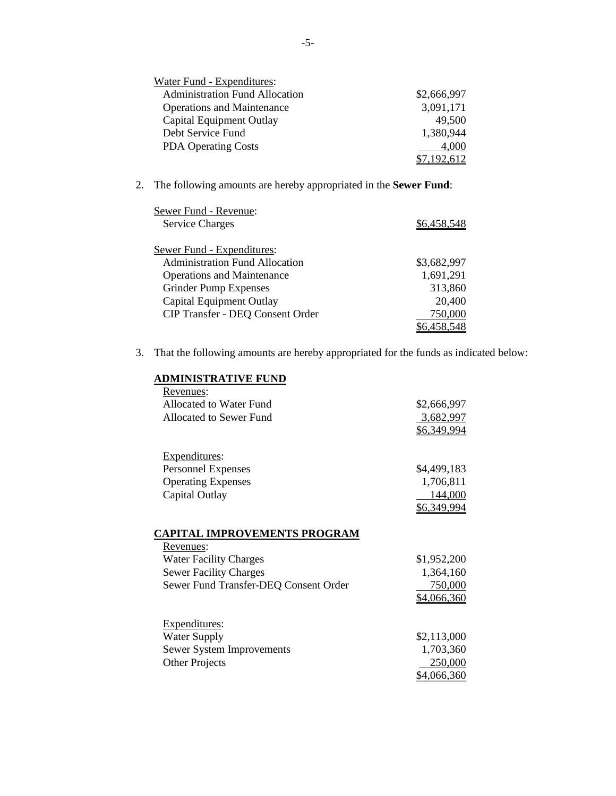| Water Fund - Expenditures:            |             |
|---------------------------------------|-------------|
| <b>Administration Fund Allocation</b> | \$2,666,997 |
| <b>Operations and Maintenance</b>     | 3,091,171   |
| Capital Equipment Outlay              | 49,500      |
| Debt Service Fund                     | 1,380,944   |
| <b>PDA Operating Costs</b>            | 4,000       |
|                                       |             |

2. The following amounts are hereby appropriated in the **Sewer Fund**:

| Sewer Fund - Revenue:                   |             |
|-----------------------------------------|-------------|
| <b>Service Charges</b>                  | \$6,458,548 |
| <b>Sewer Fund - Expenditures:</b>       |             |
| <b>Administration Fund Allocation</b>   | \$3,682,997 |
| <b>Operations and Maintenance</b>       | 1,691,291   |
| <b>Grinder Pump Expenses</b>            | 313,860     |
| Capital Equipment Outlay                | 20,400      |
| <b>CIP Transfer - DEQ Consent Order</b> | 750,000     |
|                                         | \$6,458,548 |

3. That the following amounts are hereby appropriated for the funds as indicated below:

| ADMINISTRATIVE FUND                   |             |
|---------------------------------------|-------------|
| Revenues:                             |             |
| Allocated to Water Fund               | \$2,666,997 |
| <b>Allocated to Sewer Fund</b>        | 3,682,997   |
|                                       | \$6,349,994 |
|                                       |             |
| Expenditures:                         |             |
| <b>Personnel Expenses</b>             | \$4,499,183 |
| <b>Operating Expenses</b>             | 1,706,811   |
| Capital Outlay                        | 144,000     |
|                                       | \$6,349,994 |
|                                       |             |
| <b>CAPITAL IMPROVEMENTS PROGRAM</b>   |             |
| Revenues:                             |             |
| <b>Water Facility Charges</b>         | \$1,952,200 |
| <b>Sewer Facility Charges</b>         | 1,364,160   |
| Sewer Fund Transfer-DEQ Consent Order | 750,000     |
|                                       | \$4,066,360 |
|                                       |             |
| Expenditures:                         |             |
| <b>Water Supply</b>                   | \$2,113,000 |
| Sewer System Improvements             | 1,703,360   |
| <b>Other Projects</b>                 | 250,000     |
|                                       | \$4,066,360 |
|                                       |             |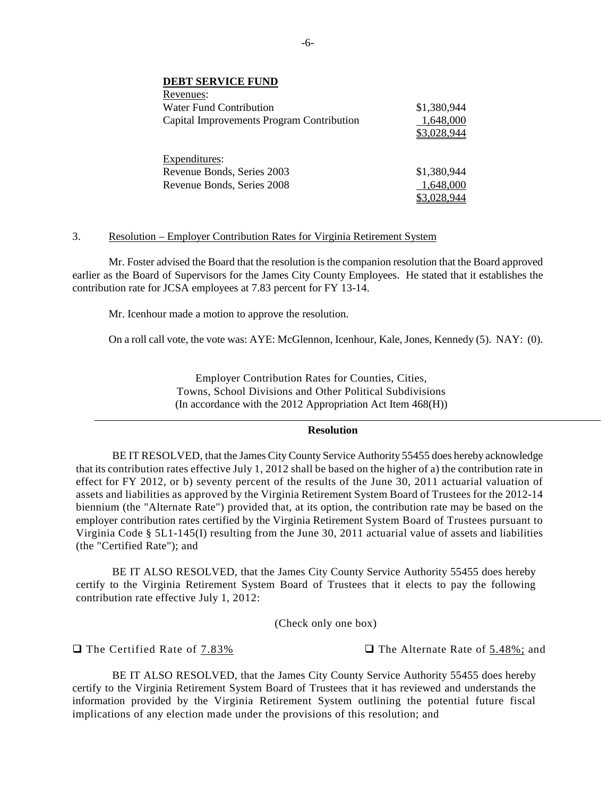| <b>DEBT SERVICE FUND</b>                  |             |
|-------------------------------------------|-------------|
| Revenues:                                 |             |
| Water Fund Contribution                   | \$1,380,944 |
| Capital Improvements Program Contribution | 1,648,000   |
|                                           | \$3,028,944 |
| Expenditures:                             |             |
| Revenue Bonds, Series 2003                | \$1,380,944 |
| Revenue Bonds, Series 2008                | 1,648,000   |
|                                           | \$3,028,944 |

## 3. Resolution – Employer Contribution Rates for Virginia Retirement System

Mr. Foster advised the Board that the resolution is the companion resolution that the Board approved earlier as the Board of Supervisors for the James City County Employees. He stated that it establishes the contribution rate for JCSA employees at 7.83 percent for FY 13-14.

Mr. Icenhour made a motion to approve the resolution.

On a roll call vote, the vote was: AYE: McGlennon, Icenhour, Kale, Jones, Kennedy (5). NAY: (0).

Employer Contribution Rates for Counties, Cities, Towns, School Divisions and Other Political Subdivisions (In accordance with the 2012 Appropriation Act Item 468(H))

## **Resolution**

BE IT RESOLVED, that the James City County Service Authority 55455 does hereby acknowledge that its contribution rates effective July 1, 2012 shall be based on the higher of a) the contribution rate in effect for FY 2012, or b) seventy percent of the results of the June 30, 2011 actuarial valuation of assets and liabilities as approved by the Virginia Retirement System Board of Trustees for the 2012-14 biennium (the "Alternate Rate") provided that, at its option, the contribution rate may be based on the employer contribution rates certified by the Virginia Retirement System Board of Trustees pursuant to Virginia Code § 5L1-145(I) resulting from the June 30, 2011 actuarial value of assets and liabilities (the "Certified Rate"); and

BE IT ALSO RESOLVED, that the James City County Service Authority 55455 does hereby certify to the Virginia Retirement System Board of Trustees that it elects to pay the following contribution rate effective July 1, 2012:

(Check only one box)

**□** The Certified Rate of 7.83% **U** The Alternate Rate of 5.48%; and

BE IT ALSO RESOLVED, that the James City County Service Authority 55455 does hereby certify to the Virginia Retirement System Board of Trustees that it has reviewed and understands the information provided by the Virginia Retirement System outlining the potential future fiscal implications of any election made under the provisions of this resolution; and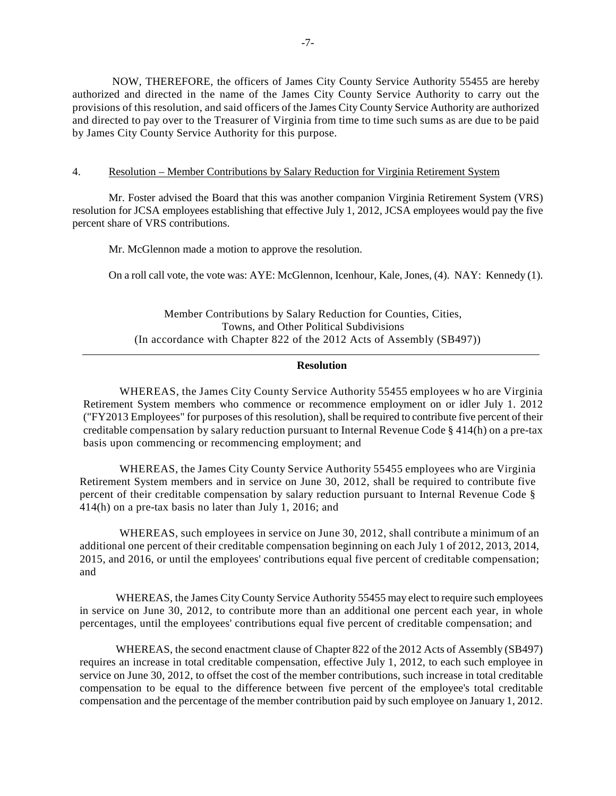NOW, THEREFORE, the officers of James City County Service Authority 55455 are hereby authorized and directed in the name of the James City County Service Authority to carry out the provisions of this resolution, and said officers of the James City County Service Authority are authorized and directed to pay over to the Treasurer of Virginia from time to time such sums as are due to be paid by James City County Service Authority for this purpose.

## 4. Resolution – Member Contributions by Salary Reduction for Virginia Retirement System

Mr. Foster advised the Board that this was another companion Virginia Retirement System (VRS) resolution for JCSA employees establishing that effective July 1, 2012, JCSA employees would pay the five percent share of VRS contributions.

Mr. McGlennon made a motion to approve the resolution.

On a roll call vote, the vote was: AYE: McGlennon, Icenhour, Kale, Jones, (4). NAY: Kennedy (1).

Member Contributions by Salary Reduction for Counties, Cities, Towns, and Other Political Subdivisions (In accordance with Chapter 822 of the 2012 Acts of Assembly (SB497))

## **Resolution**

WHEREAS, the James City County Service Authority 55455 employees w ho are Virginia Retirement System members who commence or recommence employment on or idler July 1. 2012 ("FY2013 Employees" for purposes of this resolution), shall be required to contribute five percent of their creditable compensation by salary reduction pursuant to Internal Revenue Code § 414(h) on a pre-tax basis upon commencing or recommencing employment; and

WHEREAS, the James City County Service Authority 55455 employees who are Virginia Retirement System members and in service on June 30, 2012, shall be required to contribute five percent of their creditable compensation by salary reduction pursuant to Internal Revenue Code § 414(h) on a pre-tax basis no later than July 1, 2016; and

WHEREAS, such employees in service on June 30, 2012, shall contribute a minimum of an additional one percent of their creditable compensation beginning on each July 1 of 2012, 2013, 2014, 2015, and 2016, or until the employees' contributions equal five percent of creditable compensation; and

WHEREAS, the James City County Service Authority 55455 may elect to require such employees in service on June 30, 2012, to contribute more than an additional one percent each year, in whole percentages, until the employees' contributions equal five percent of creditable compensation; and

WHEREAS, the second enactment clause of Chapter 822 of the 2012 Acts of Assembly (SB497) requires an increase in total creditable compensation, effective July 1, 2012, to each such employee in service on June 30, 2012, to offset the cost of the member contributions, such increase in total creditable compensation to be equal to the difference between five percent of the employee's total creditable compensation and the percentage of the member contribution paid by such employee on January 1, 2012.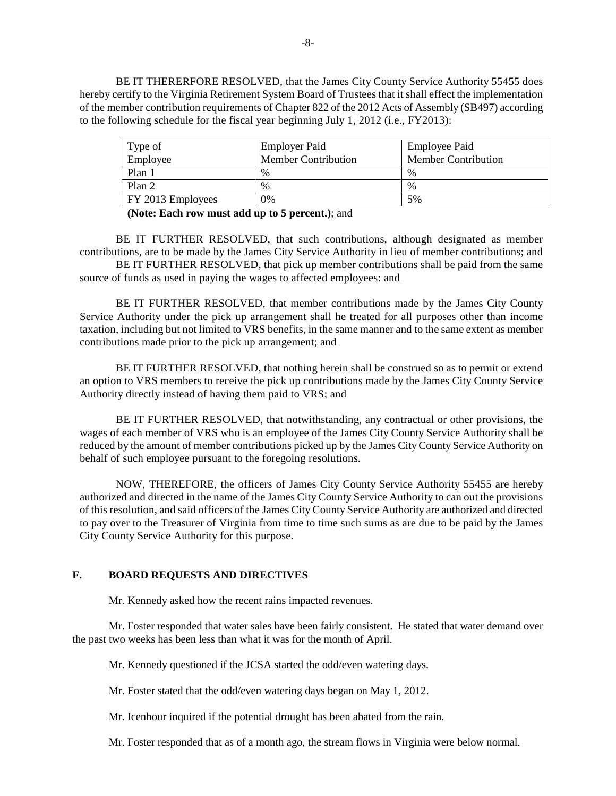BE IT THERERFORE RESOLVED, that the James City County Service Authority 55455 does hereby certify to the Virginia Retirement System Board of Trustees that it shall effect the implementation of the member contribution requirements of Chapter 822 of the 2012 Acts of Assembly (SB497) according to the following schedule for the fiscal year beginning July 1, 2012 (i.e., FY2013):

| Type of           | <b>Employer Paid</b>       | <b>Employee Paid</b>       |
|-------------------|----------------------------|----------------------------|
| Employee          | <b>Member Contribution</b> | <b>Member Contribution</b> |
| Plan 1            | $\%$                       | $\%$                       |
| Plan 2            | $\%$                       | $\%$                       |
| FY 2013 Employees | $2\%$                      | 5%                         |

**(Note: Each row must add up to 5 percent.)**; and

BE IT FURTHER RESOLVED, that such contributions, although designated as member contributions, are to be made by the James City Service Authority in lieu of member contributions; and BE IT FURTHER RESOLVED, that pick up member contributions shall be paid from the same source of funds as used in paying the wages to affected employees: and

BE IT FURTHER RESOLVED, that member contributions made by the James City County Service Authority under the pick up arrangement shall he treated for all purposes other than income taxation, including but not limited to VRS benefits, in the same manner and to the same extent as member contributions made prior to the pick up arrangement; and

BE IT FURTHER RESOLVED, that nothing herein shall be construed so as to permit or extend an option to VRS members to receive the pick up contributions made by the James City County Service Authority directly instead of having them paid to VRS; and

BE IT FURTHER RESOLVED, that notwithstanding, any contractual or other provisions, the wages of each member of VRS who is an employee of the James City County Service Authority shall be reduced by the amount of member contributions picked up by the James City County Service Authority on behalf of such employee pursuant to the foregoing resolutions.

NOW, THEREFORE, the officers of James City County Service Authority 55455 are hereby authorized and directed in the name of the James City County Service Authority to can out the provisions of this resolution, and said officers of the James City County Service Authority are authorized and directed to pay over to the Treasurer of Virginia from time to time such sums as are due to be paid by the James City County Service Authority for this purpose.

# **F. BOARD REQUESTS AND DIRECTIVES**

Mr. Kennedy asked how the recent rains impacted revenues.

Mr. Foster responded that water sales have been fairly consistent. He stated that water demand over the past two weeks has been less than what it was for the month of April.

Mr. Kennedy questioned if the JCSA started the odd/even watering days.

Mr. Foster stated that the odd/even watering days began on May 1, 2012.

Mr. Icenhour inquired if the potential drought has been abated from the rain.

Mr. Foster responded that as of a month ago, the stream flows in Virginia were below normal.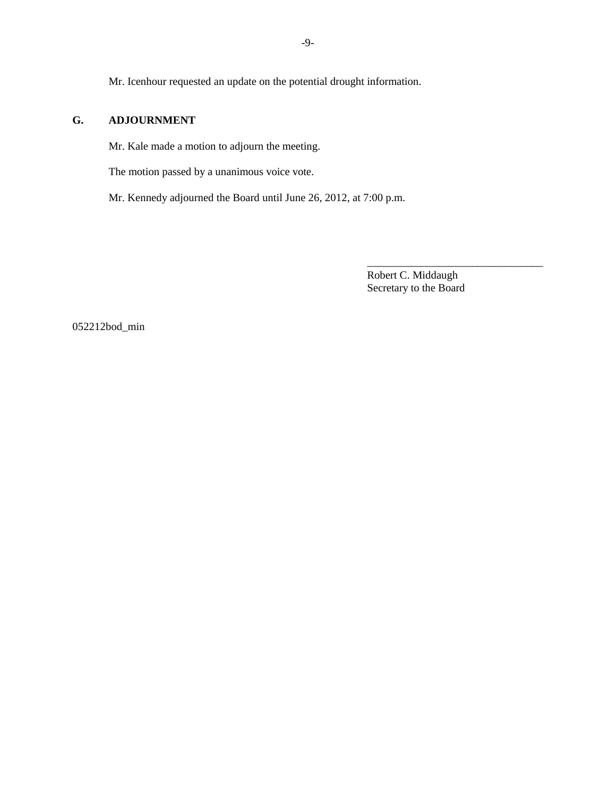Mr. Icenhour requested an update on the potential drought information.

# **G. ADJOURNMENT**

Mr. Kale made a motion to adjourn the meeting.

The motion passed by a unanimous voice vote.

Mr. Kennedy adjourned the Board until June 26, 2012, at 7:00 p.m.

Robert C. Middaugh Secretary to the Board

\_\_\_\_\_\_\_\_\_\_\_\_\_\_\_\_\_\_\_\_\_\_\_\_\_\_\_\_\_\_\_\_

052212bod\_min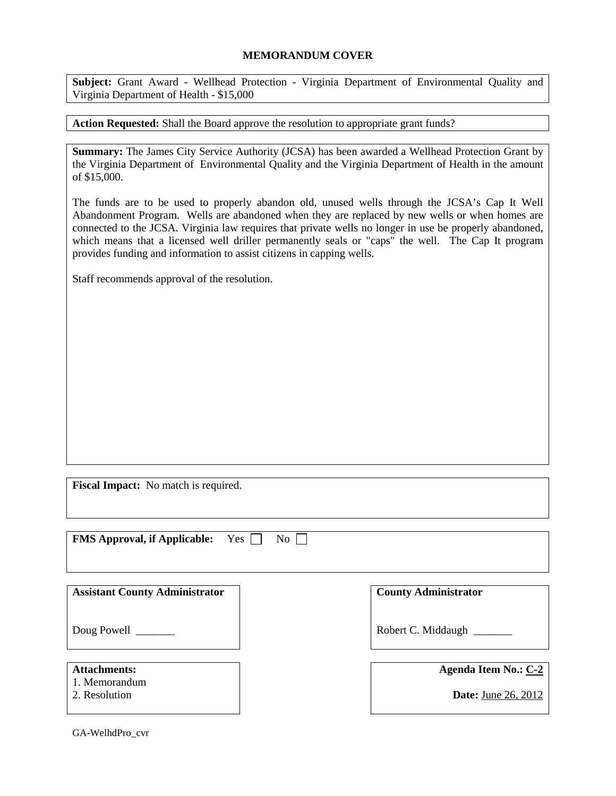# **MEMORANDUM COVER**

**Subject:** Grant Award - Wellhead Protection - Virginia Department of Environmental Quality and Virginia Department of Health - \$15,000

**Action Requested:** Shall the Board approve the resolution to appropriate grant funds?

**Summary:** The James City Service Authority (JCSA) has been awarded a Wellhead Protection Grant by the Virginia Department of Environmental Quality and the Virginia Department of Health in the amount of \$15,000.

The funds are to be used to properly abandon old, unused wells through the JCSA's Cap It Well Abandonment Program. Wells are abandoned when they are replaced by new wells or when homes are connected to the JCSA. Virginia law requires that private wells no longer in use be properly abandoned, which means that a licensed well driller permanently seals or "caps" the well. The Cap It program provides funding and information to assist citizens in capping wells.

Staff recommends approval of the resolution.

**Fiscal Impact:** No match is required.

| <b>FMS Approval, if Applicable:</b><br>Yes<br>No <sub>1</sub> |                             |
|---------------------------------------------------------------|-----------------------------|
| <b>Assistant County Administrator</b>                         | <b>County Administrator</b> |
| Doug Powell                                                   | Robert C. Middaugh          |
| <b>Attachments:</b><br>1. Memorandum                          | <b>Agenda Item No.: C-2</b> |
| 2. Resolution                                                 | <b>Date:</b> June 26, 2012  |

GA-WelhdPro\_cvr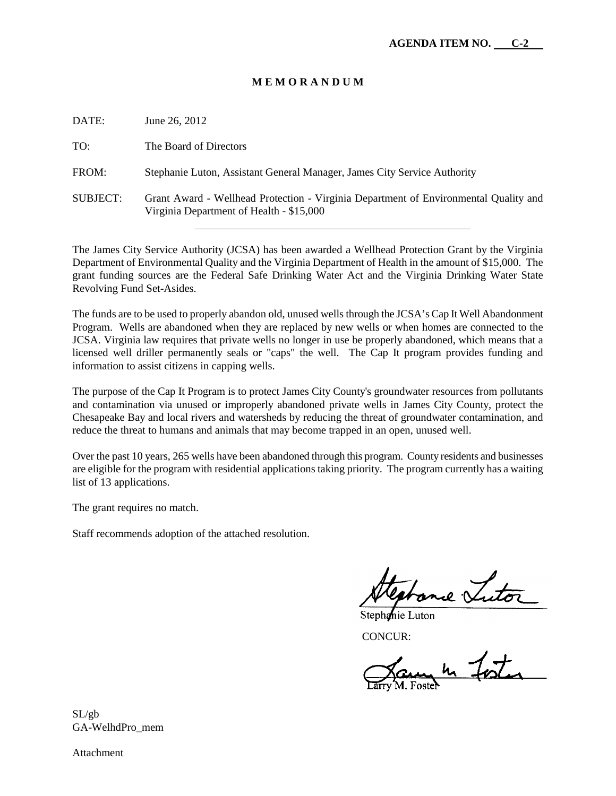# **M E M O R A N D U M**

| DATE:           | June 26, 2012                                                                                                                    |
|-----------------|----------------------------------------------------------------------------------------------------------------------------------|
| TO:             | The Board of Directors                                                                                                           |
| FROM:           | Stephanie Luton, Assistant General Manager, James City Service Authority                                                         |
| <b>SUBJECT:</b> | Grant Award - Wellhead Protection - Virginia Department of Environmental Quality and<br>Virginia Department of Health - \$15,000 |

The James City Service Authority (JCSA) has been awarded a Wellhead Protection Grant by the Virginia Department of Environmental Quality and the Virginia Department of Health in the amount of \$15,000. The grant funding sources are the Federal Safe Drinking Water Act and the Virginia Drinking Water State Revolving Fund Set-Asides.

The funds are to be used to properly abandon old, unused wells through the JCSA's Cap It Well Abandonment Program. Wells are abandoned when they are replaced by new wells or when homes are connected to the JCSA. Virginia law requires that private wells no longer in use be properly abandoned, which means that a licensed well driller permanently seals or "caps" the well. The Cap It program provides funding and information to assist citizens in capping wells.

The purpose of the Cap It Program is to protect James City County's groundwater resources from pollutants and contamination via unused or improperly abandoned private wells in James City County, protect the Chesapeake Bay and local rivers and watersheds by reducing the threat of groundwater contamination, and reduce the threat to humans and animals that may become trapped in an open, unused well.

Over the past 10 years, 265 wells have been abandoned through this program. County residents and businesses are eligible for the program with residential applications taking priority. The program currently has a waiting list of 13 applications.

The grant requires no match.

Staff recommends adoption of the attached resolution.

 $\overline{m}$ l $\overline{N}$ 

Stephanie Luton

CONCUR:

un 4 foot

SL/gb GA-WelhdPro\_mem

Attachment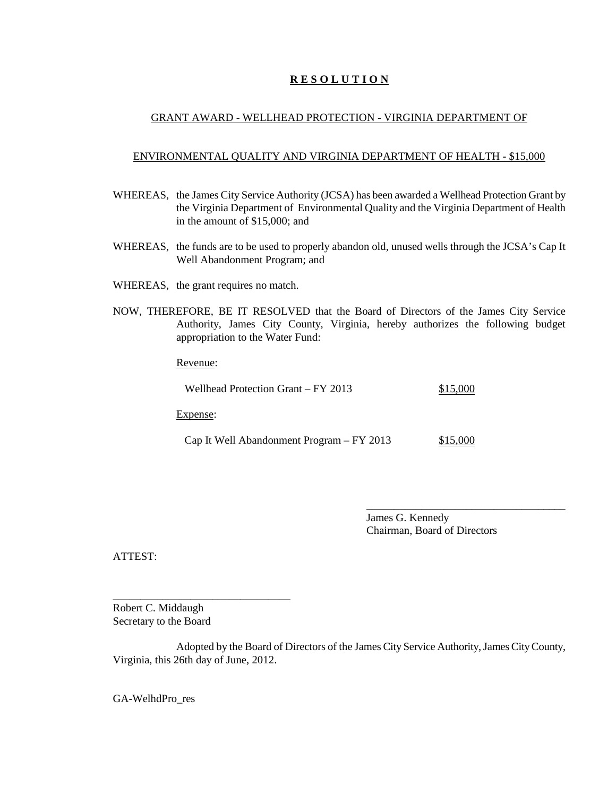# **R E S O L U T I O N**

# GRANT AWARD - WELLHEAD PROTECTION - VIRGINIA DEPARTMENT OF

## ENVIRONMENTAL QUALITY AND VIRGINIA DEPARTMENT OF HEALTH - \$15,000

- WHEREAS, the James City Service Authority (JCSA) has been awarded a Wellhead Protection Grant by the Virginia Department of Environmental Quality and the Virginia Department of Health in the amount of \$15,000; and
- WHEREAS, the funds are to be used to properly abandon old, unused wells through the JCSA's Cap It Well Abandonment Program; and
- WHEREAS, the grant requires no match.
- NOW, THEREFORE, BE IT RESOLVED that the Board of Directors of the James City Service Authority, James City County, Virginia, hereby authorizes the following budget appropriation to the Water Fund:

Revenue:

| Wellhead Protection Grant – FY 2013       | \$15,000 |
|-------------------------------------------|----------|
| Expense:                                  |          |
| Cap It Well Abandonment Program – FY 2013 | \$15,000 |

James G. Kennedy Chairman, Board of Directors

\_\_\_\_\_\_\_\_\_\_\_\_\_\_\_\_\_\_\_\_\_\_\_\_\_\_\_\_\_\_\_\_\_\_\_\_

ATTEST:

Robert C. Middaugh Secretary to the Board

\_\_\_\_\_\_\_\_\_\_\_\_\_\_\_\_\_\_\_\_\_\_\_\_\_\_\_\_\_\_\_\_

Adopted by the Board of Directors of the James City Service Authority, James City County, Virginia, this 26th day of June, 2012.

GA-WelhdPro\_res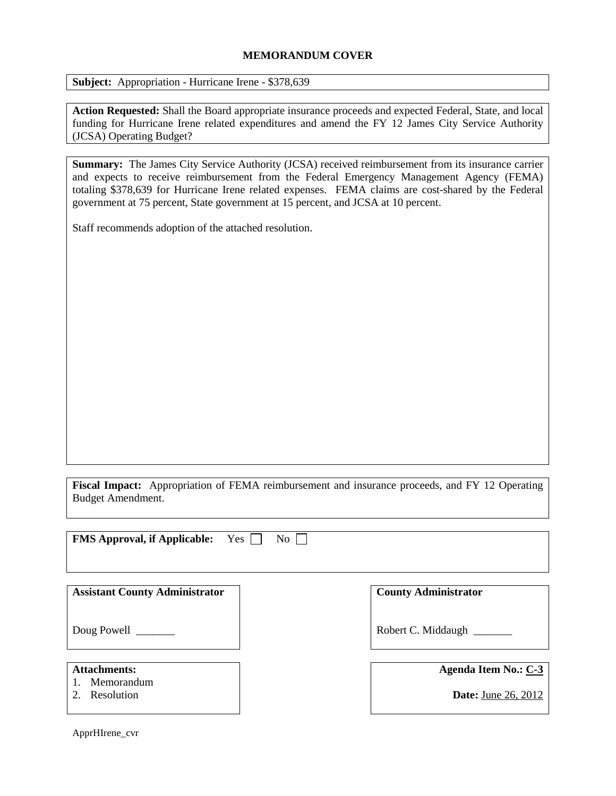# **MEMORANDUM COVER**

**Subject:** Appropriation - Hurricane Irene - \$378,639

**Action Requested:** Shall the Board appropriate insurance proceeds and expected Federal, State, and local funding for Hurricane Irene related expenditures and amend the FY 12 James City Service Authority (JCSA) Operating Budget?

**Summary:** The James City Service Authority (JCSA) received reimbursement from its insurance carrier and expects to receive reimbursement from the Federal Emergency Management Agency (FEMA) totaling \$378,639 for Hurricane Irene related expenses. FEMA claims are cost-shared by the Federal government at 75 percent, State government at 15 percent, and JCSA at 10 percent.

Staff recommends adoption of the attached resolution.

**Fiscal Impact:** Appropriation of FEMA reimbursement and insurance proceeds, and FY 12 Operating Budget Amendment.

| <b>FMS Approval, if Applicable:</b><br>Yes<br>No               |                                                           |  |  |  |
|----------------------------------------------------------------|-----------------------------------------------------------|--|--|--|
| <b>Assistant County Administrator</b>                          | <b>County Administrator</b>                               |  |  |  |
| Doug Powell                                                    | Robert C. Middaugh                                        |  |  |  |
| <b>Attachments:</b><br>Memorandum<br>Resolution<br>$2^{\circ}$ | <b>Agenda Item No.: C-3</b><br><b>Date:</b> June 26, 2012 |  |  |  |

ApprHIrene\_cvr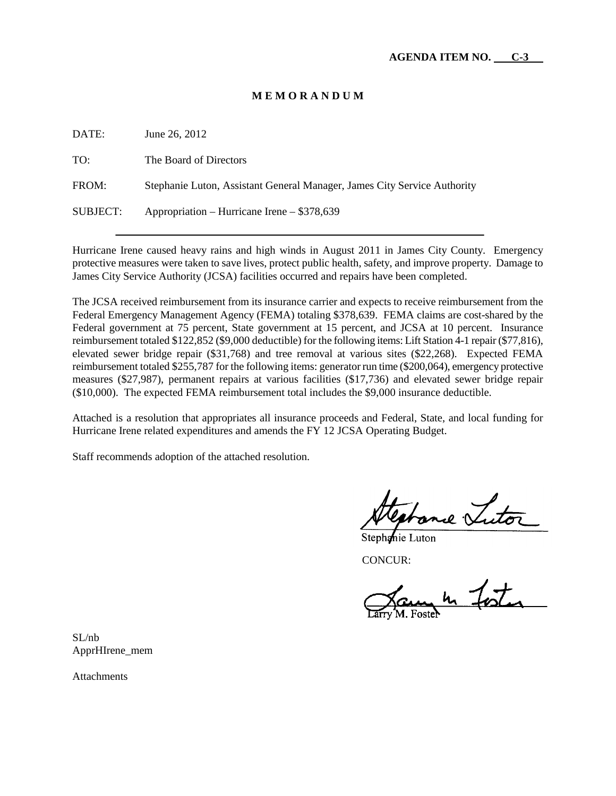# **M E M O R A N D U M**

| DATE:    | June 26, 2012                                                            |
|----------|--------------------------------------------------------------------------|
| TO:      | The Board of Directors                                                   |
| FROM:    | Stephanie Luton, Assistant General Manager, James City Service Authority |
| SUBJECT: | Appropriation – Hurricane Irene – \$378,639                              |

Hurricane Irene caused heavy rains and high winds in August 2011 in James City County. Emergency protective measures were taken to save lives, protect public health, safety, and improve property. Damage to James City Service Authority (JCSA) facilities occurred and repairs have been completed.

The JCSA received reimbursement from its insurance carrier and expects to receive reimbursement from the Federal Emergency Management Agency (FEMA) totaling \$378,639. FEMA claims are cost-shared by the Federal government at 75 percent, State government at 15 percent, and JCSA at 10 percent. Insurance reimbursement totaled \$122,852 (\$9,000 deductible) for the following items: Lift Station 4-1 repair (\$77,816), elevated sewer bridge repair (\$31,768) and tree removal at various sites (\$22,268). Expected FEMA reimbursement totaled \$255,787 for the following items: generator run time (\$200,064), emergency protective measures (\$27,987), permanent repairs at various facilities (\$17,736) and elevated sewer bridge repair (\$10,000). The expected FEMA reimbursement total includes the \$9,000 insurance deductible.

Attached is a resolution that appropriates all insurance proceeds and Federal, State, and local funding for Hurricane Irene related expenditures and amends the FY 12 JCSA Operating Budget.

Staff recommends adoption of the attached resolution.

ne Zuto

Stephanie Luton

CONCUR:

in fost

SL/nb ApprHIrene\_mem

**Attachments**